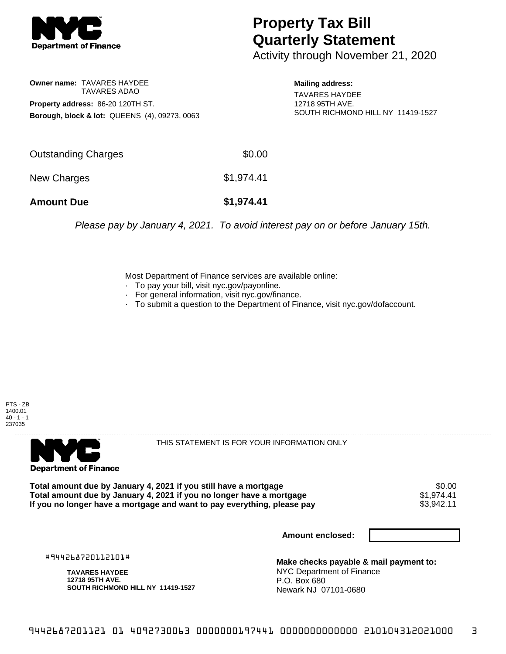

## **Property Tax Bill Quarterly Statement**

Activity through November 21, 2020

## **Owner name:** TAVARES HAYDEE TAVARES ADAO **Property address:** 86-20 120TH ST. **Borough, block & lot:** QUEENS (4), 09273, 0063

**Mailing address:**

TAVARES HAYDEE 12718 95TH AVE. SOUTH RICHMOND HILL NY 11419-1527

| <b>Amount Due</b>   | \$1,974.41 |
|---------------------|------------|
| New Charges         | \$1,974.41 |
| Outstanding Charges | \$0.00     |

Please pay by January 4, 2021. To avoid interest pay on or before January 15th.

Most Department of Finance services are available online:

- · To pay your bill, visit nyc.gov/payonline.
- For general information, visit nyc.gov/finance.
- · To submit a question to the Department of Finance, visit nyc.gov/dofaccount.





THIS STATEMENT IS FOR YOUR INFORMATION ONLY

Total amount due by January 4, 2021 if you still have a mortgage \$0.00<br>Total amount due by January 4, 2021 if you no longer have a mortgage \$1.974.41 **Total amount due by January 4, 2021 if you no longer have a mortgage**  $$1,974.41$ **<br>If you no longer have a mortgage and want to pay everything, please pay**  $$3,942.11$ If you no longer have a mortgage and want to pay everything, please pay

**Amount enclosed:**

#944268720112101#

**TAVARES HAYDEE 12718 95TH AVE. SOUTH RICHMOND HILL NY 11419-1527**

**Make checks payable & mail payment to:** NYC Department of Finance P.O. Box 680 Newark NJ 07101-0680